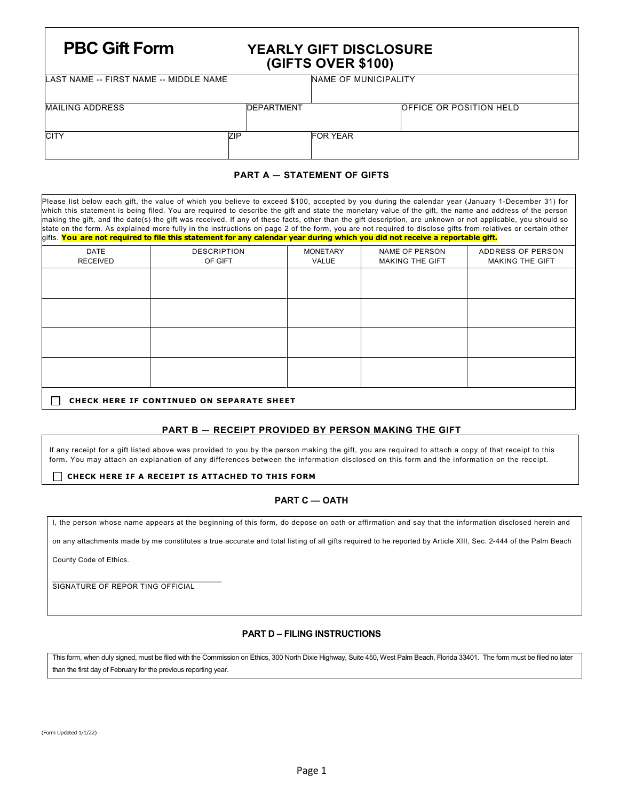# **PBC Gift Form YEARLY GIFT DISCLOSURE (GIFTS OVER \$100)**

LAST NAME -- FIRST NAME -- MIDDLE NAME NAME NAME NAME OF MUNICIPALITY

| <b>MAILING ADDRESS</b> | <b>DEPARTMENT</b> |                 | OFFICE OR POSITION HELD |
|------------------------|-------------------|-----------------|-------------------------|
| <b>CITY</b>            | ZIP               | <b>FOR YEAR</b> |                         |

# **PART A — STATEMENT OF GIFTS**

| Please list below each gift, the value of which you believe to exceed \$100, accepted by you during the calendar year (January 1-December 31) for<br>which this statement is being filed. You are required to describe the gift and state the monetary value of the gift, the name and address of the person<br>making the gift, and the date(s) the gift was received. If any of these facts, other than the gift description, are unknown or not applicable, you should so<br>state on the form. As explained more fully in the instructions on page 2 of the form, you are not required to disclose gifts from relatives or certain other<br>gifts. You are not required to file this statement for any calendar year during which you did not receive a reportable gift. |                    |                 |                        |                        |  |  |  |
|------------------------------------------------------------------------------------------------------------------------------------------------------------------------------------------------------------------------------------------------------------------------------------------------------------------------------------------------------------------------------------------------------------------------------------------------------------------------------------------------------------------------------------------------------------------------------------------------------------------------------------------------------------------------------------------------------------------------------------------------------------------------------|--------------------|-----------------|------------------------|------------------------|--|--|--|
| DATE                                                                                                                                                                                                                                                                                                                                                                                                                                                                                                                                                                                                                                                                                                                                                                         | <b>DESCRIPTION</b> | <b>MONETARY</b> | NAME OF PERSON         | ADDRESS OF PERSON      |  |  |  |
| <b>RECEIVED</b>                                                                                                                                                                                                                                                                                                                                                                                                                                                                                                                                                                                                                                                                                                                                                              | OF GIFT            | VALUE           | <b>MAKING THE GIFT</b> | <b>MAKING THE GIFT</b> |  |  |  |
|                                                                                                                                                                                                                                                                                                                                                                                                                                                                                                                                                                                                                                                                                                                                                                              |                    |                 |                        |                        |  |  |  |
|                                                                                                                                                                                                                                                                                                                                                                                                                                                                                                                                                                                                                                                                                                                                                                              |                    |                 |                        |                        |  |  |  |
|                                                                                                                                                                                                                                                                                                                                                                                                                                                                                                                                                                                                                                                                                                                                                                              |                    |                 |                        |                        |  |  |  |
|                                                                                                                                                                                                                                                                                                                                                                                                                                                                                                                                                                                                                                                                                                                                                                              |                    |                 |                        |                        |  |  |  |
| <b>CHECK HERE IF CONTINUED ON SEPARATE SHEET</b>                                                                                                                                                                                                                                                                                                                                                                                                                                                                                                                                                                                                                                                                                                                             |                    |                 |                        |                        |  |  |  |

### **PART B — RECEIPT PROVIDED BY PERSON MAKING THE GIFT**

If any receipt for a gift listed above was provided to you by the person making the gift, you are required to attach a copy of that receipt to this form. You may attach an explanation of any differences between the information disclosed on this form and the information on the receipt.

#### **CHECK HERE IF A RECEIPT IS ATTACHED TO THIS FORM**

## **PART C — OATH**

I, the person whose name appears at the beginning of this form, do depose on oath or affirmation and say that the information disclosed herein and

on any attachments made by me constitutes a true accurate and total listing of all gifts required to he reported by Article XIII, Sec. 2-444 of the Palm Beach

County Code of Ethics.

\_\_\_\_\_\_\_\_\_\_\_\_\_\_\_\_\_\_\_\_\_\_\_\_\_\_\_\_\_\_\_\_\_\_\_\_\_\_\_\_\_\_\_ SIGNATURE OF REPOR TING OFFICIAL

### **PART D – FILING INSTRUCTIONS**

This form, when duly signed, must be filed with the Commission on Ethics, 300 North Dixie Highway, Suite 450, West Palm Beach, Florida 33401. The form must be filed no later than the first day of February for the previous reporting year.